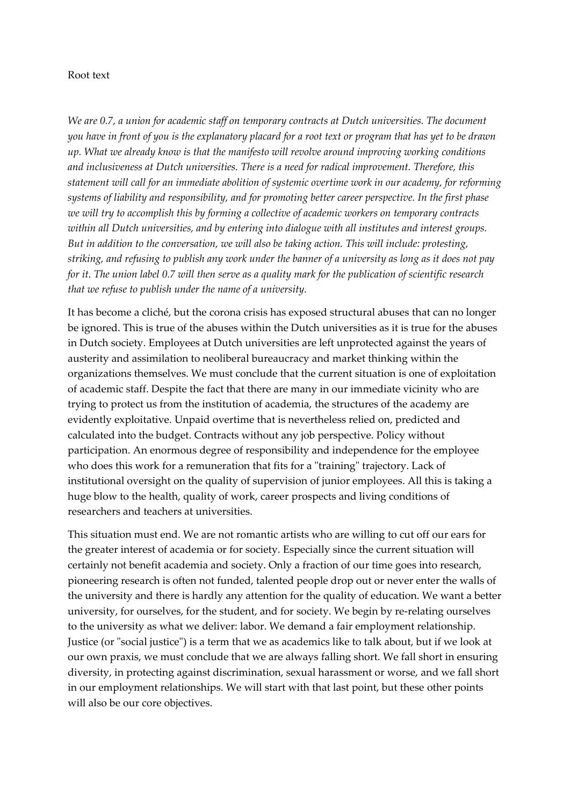## Root text

*We are 0.7, a union for academic staff on temporary contracts at Dutch universities. The document you have in front of you is the explanatory placard for a root text or program that has yet to be drawn up. What we already know is that the manifesto will revolve around improving working conditions and inclusiveness at Dutch universities. There is a need for radical improvement. Therefore, this statement will call for an immediate abolition of systemic overtime work in our academy, for reforming systems of liability and responsibility, and for promoting better career perspective. In the first phase we will try to accomplish this by forming a collective of academic workers on temporary contracts within all Dutch universities, and by entering into dialogue with all institutes and interest groups. But in addition to the conversation, we will also be taking action. This will include: protesting, striking, and refusing to publish any work under the banner of a university as long as it does not pay for it. The union label 0.7 will then serve as a quality mark for the publication of scientific research that we refuse to publish under the name of a university.* 

It has become a cliché, but the corona crisis has exposed structural abuses that can no longer be ignored. This is true of the abuses within the Dutch universities as it is true for the abuses in Dutch society. Employees at Dutch universities are left unprotected against the years of austerity and assimilation to neoliberal bureaucracy and market thinking within the organizations themselves. We must conclude that the current situation is one of exploitation of academic staff. Despite the fact that there are many in our immediate vicinity who are trying to protect us from the institution of academia, the structures of the academy are evidently exploitative. Unpaid overtime that is nevertheless relied on, predicted and calculated into the budget. Contracts without any job perspective. Policy without participation. An enormous degree of responsibility and independence for the employee who does this work for a remuneration that fits for a "training" trajectory. Lack of institutional oversight on the quality of supervision of junior employees. All this is taking a huge blow to the health, quality of work, career prospects and living conditions of researchers and teachers at universities.

This situation must end. We are not romantic artists who are willing to cut off our ears for the greater interest of academia or for society. Especially since the current situation will certainly not benefit academia and society. Only a fraction of our time goes into research, pioneering research is often not funded, talented people drop out or never enter the walls of the university and there is hardly any attention for the quality of education. We want a better university, for ourselves, for the student, and for society. We begin by re-relating ourselves to the university as what we deliver: labor. We demand a fair employment relationship. Justice (or "social justice") is a term that we as academics like to talk about, but if we look at our own praxis, we must conclude that we are always falling short. We fall short in ensuring diversity, in protecting against discrimination, sexual harassment or worse, and we fall short in our employment relationships. We will start with that last point, but these other points will also be our core objectives.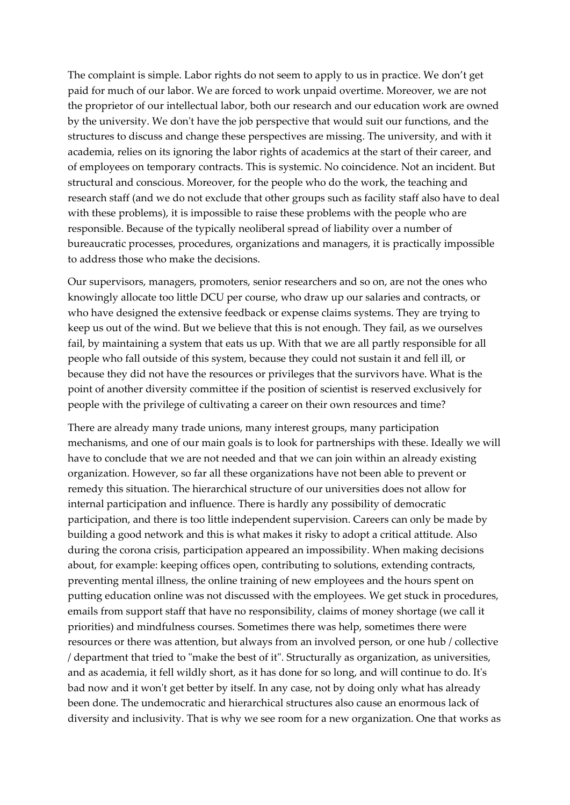The complaint is simple. Labor rights do not seem to apply to us in practice. We don't get paid for much of our labor. We are forced to work unpaid overtime. Moreover, we are not the proprietor of our intellectual labor, both our research and our education work are owned by the university. We don't have the job perspective that would suit our functions, and the structures to discuss and change these perspectives are missing. The university, and with it academia, relies on its ignoring the labor rights of academics at the start of their career, and of employees on temporary contracts. This is systemic. No coincidence. Not an incident. But structural and conscious. Moreover, for the people who do the work, the teaching and research staff (and we do not exclude that other groups such as facility staff also have to deal with these problems), it is impossible to raise these problems with the people who are responsible. Because of the typically neoliberal spread of liability over a number of bureaucratic processes, procedures, organizations and managers, it is practically impossible to address those who make the decisions.

Our supervisors, managers, promoters, senior researchers and so on, are not the ones who knowingly allocate too little DCU per course, who draw up our salaries and contracts, or who have designed the extensive feedback or expense claims systems. They are trying to keep us out of the wind. But we believe that this is not enough. They fail, as we ourselves fail, by maintaining a system that eats us up. With that we are all partly responsible for all people who fall outside of this system, because they could not sustain it and fell ill, or because they did not have the resources or privileges that the survivors have. What is the point of another diversity committee if the position of scientist is reserved exclusively for people with the privilege of cultivating a career on their own resources and time?

There are already many trade unions, many interest groups, many participation mechanisms, and one of our main goals is to look for partnerships with these. Ideally we will have to conclude that we are not needed and that we can join within an already existing organization. However, so far all these organizations have not been able to prevent or remedy this situation. The hierarchical structure of our universities does not allow for internal participation and influence. There is hardly any possibility of democratic participation, and there is too little independent supervision. Careers can only be made by building a good network and this is what makes it risky to adopt a critical attitude. Also during the corona crisis, participation appeared an impossibility. When making decisions about, for example: keeping offices open, contributing to solutions, extending contracts, preventing mental illness, the online training of new employees and the hours spent on putting education online was not discussed with the employees. We get stuck in procedures, emails from support staff that have no responsibility, claims of money shortage (we call it priorities) and mindfulness courses. Sometimes there was help, sometimes there were resources or there was attention, but always from an involved person, or one hub / collective / department that tried to "make the best of it". Structurally as organization, as universities, and as academia, it fell wildly short, as it has done for so long, and will continue to do. It's bad now and it won't get better by itself. In any case, not by doing only what has already been done. The undemocratic and hierarchical structures also cause an enormous lack of diversity and inclusivity. That is why we see room for a new organization. One that works as